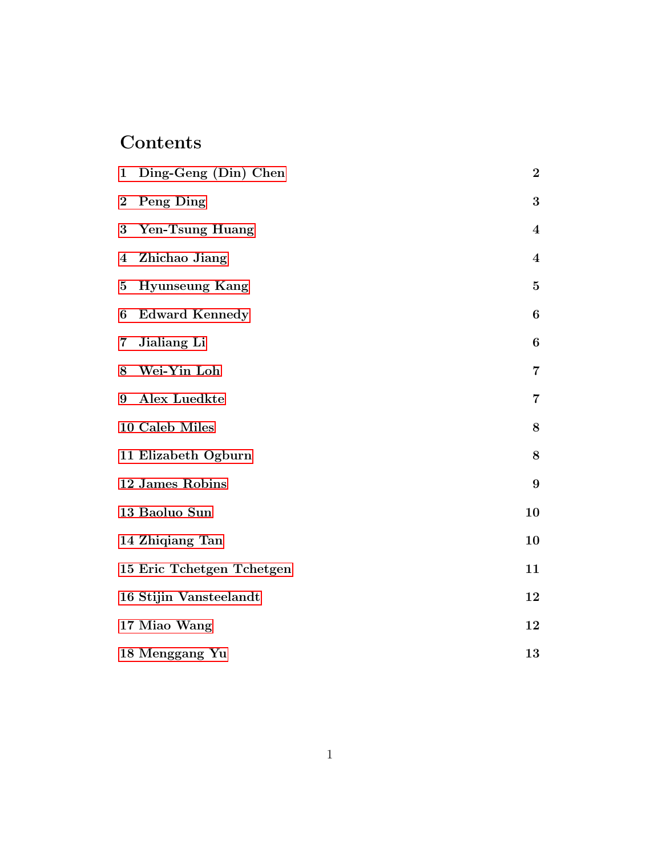# Contents

| $\mathbf{1}$            | Ding-Geng (Din) Chen      | $\boldsymbol{2}$ |
|-------------------------|---------------------------|------------------|
| $\overline{2}$          | Peng Ding                 | $\bf{3}$         |
| 3                       | Yen-Tsung Huang           | $\overline{4}$   |
| $\overline{\mathbf{4}}$ | Zhichao Jiang             | $\overline{4}$   |
| $\bf{5}$                | <b>Hyunseung Kang</b>     | $\mathbf{5}$     |
| 6                       | <b>Edward Kennedy</b>     | $\boldsymbol{6}$ |
| $\overline{7}$          | Jialiang Li               | $\bf 6$          |
| 8                       | Wei-Yin Loh               | 7                |
| 9                       | Alex Luedkte              | $\overline{7}$   |
|                         | 10 Caleb Miles            | $\bf 8$          |
|                         | 11 Elizabeth Ogburn       | $8\,$            |
|                         | 12 James Robins           | 9                |
|                         | 13 Baoluo Sun             | 10               |
|                         | 14 Zhiqiang Tan           | 10               |
|                         | 15 Eric Tchetgen Tchetgen | 11               |
|                         | 16 Stijin Vansteelandt    | 12               |
|                         | 17 Miao Wang              | 12               |
|                         | 18 Menggang Yu            | 13               |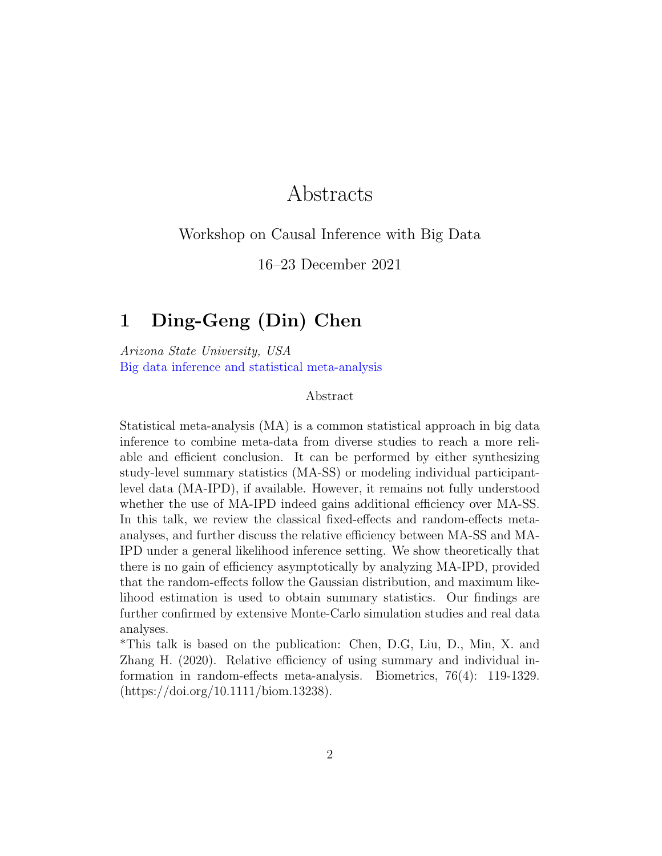# Abstracts

#### Workshop on Causal Inference with Big Data

16–23 December 2021

# <span id="page-1-0"></span>1 Ding-Geng (Din) Chen

Arizona State University, USA Big data inference and statistical meta-analysis

#### Abstract

Statistical meta-analysis (MA) is a common statistical approach in big data inference to combine meta-data from diverse studies to reach a more reliable and efficient conclusion. It can be performed by either synthesizing study-level summary statistics (MA-SS) or modeling individual participantlevel data (MA-IPD), if available. However, it remains not fully understood whether the use of MA-IPD indeed gains additional efficiency over MA-SS. In this talk, we review the classical fixed-effects and random-effects metaanalyses, and further discuss the relative efficiency between MA-SS and MA-IPD under a general likelihood inference setting. We show theoretically that there is no gain of efficiency asymptotically by analyzing MA-IPD, provided that the random-effects follow the Gaussian distribution, and maximum likelihood estimation is used to obtain summary statistics. Our findings are further confirmed by extensive Monte-Carlo simulation studies and real data analyses.

\*This talk is based on the publication: Chen, D.G, Liu, D., Min, X. and Zhang H. (2020). Relative efficiency of using summary and individual information in random-effects meta-analysis. Biometrics, 76(4): 119-1329. (https://doi.org/10.1111/biom.13238).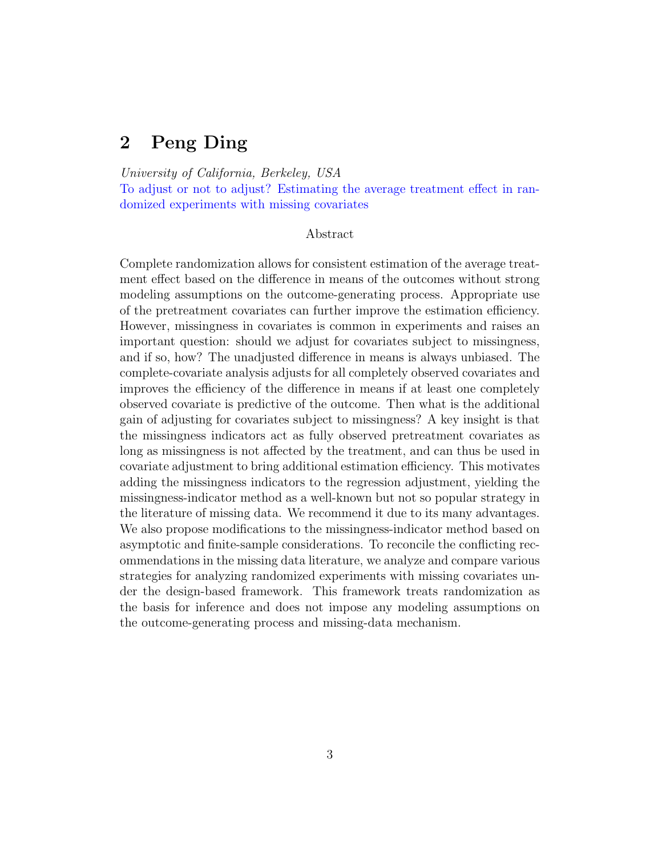# <span id="page-2-0"></span>2 Peng Ding

University of California, Berkeley, USA

To adjust or not to adjust? Estimating the average treatment effect in randomized experiments with missing covariates

#### Abstract

Complete randomization allows for consistent estimation of the average treatment effect based on the difference in means of the outcomes without strong modeling assumptions on the outcome-generating process. Appropriate use of the pretreatment covariates can further improve the estimation efficiency. However, missingness in covariates is common in experiments and raises an important question: should we adjust for covariates subject to missingness, and if so, how? The unadjusted difference in means is always unbiased. The complete-covariate analysis adjusts for all completely observed covariates and improves the efficiency of the difference in means if at least one completely observed covariate is predictive of the outcome. Then what is the additional gain of adjusting for covariates subject to missingness? A key insight is that the missingness indicators act as fully observed pretreatment covariates as long as missingness is not affected by the treatment, and can thus be used in covariate adjustment to bring additional estimation efficiency. This motivates adding the missingness indicators to the regression adjustment, yielding the missingness-indicator method as a well-known but not so popular strategy in the literature of missing data. We recommend it due to its many advantages. We also propose modifications to the missingness-indicator method based on asymptotic and finite-sample considerations. To reconcile the conflicting recommendations in the missing data literature, we analyze and compare various strategies for analyzing randomized experiments with missing covariates under the design-based framework. This framework treats randomization as the basis for inference and does not impose any modeling assumptions on the outcome-generating process and missing-data mechanism.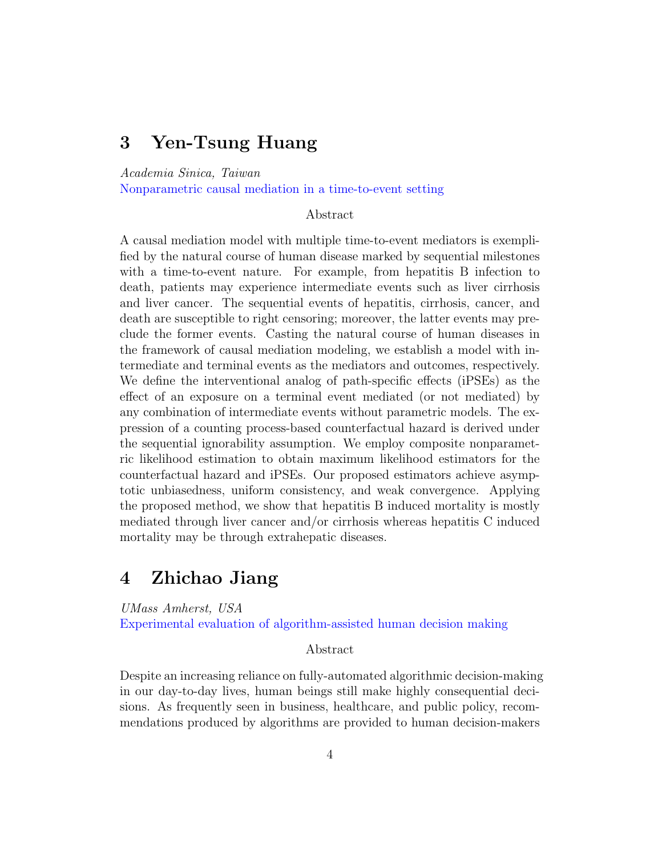### <span id="page-3-0"></span>3 Yen-Tsung Huang

Academia Sinica, Taiwan

Nonparametric causal mediation in a time-to-event setting

#### Abstract

A causal mediation model with multiple time-to-event mediators is exemplified by the natural course of human disease marked by sequential milestones with a time-to-event nature. For example, from hepatitis B infection to death, patients may experience intermediate events such as liver cirrhosis and liver cancer. The sequential events of hepatitis, cirrhosis, cancer, and death are susceptible to right censoring; moreover, the latter events may preclude the former events. Casting the natural course of human diseases in the framework of causal mediation modeling, we establish a model with intermediate and terminal events as the mediators and outcomes, respectively. We define the interventional analog of path-specific effects (iPSEs) as the effect of an exposure on a terminal event mediated (or not mediated) by any combination of intermediate events without parametric models. The expression of a counting process-based counterfactual hazard is derived under the sequential ignorability assumption. We employ composite nonparametric likelihood estimation to obtain maximum likelihood estimators for the counterfactual hazard and iPSEs. Our proposed estimators achieve asymptotic unbiasedness, uniform consistency, and weak convergence. Applying the proposed method, we show that hepatitis B induced mortality is mostly mediated through liver cancer and/or cirrhosis whereas hepatitis C induced mortality may be through extrahepatic diseases.

### <span id="page-3-1"></span>4 Zhichao Jiang

UMass Amherst, USA

Experimental evaluation of algorithm-assisted human decision making

#### Abstract

Despite an increasing reliance on fully-automated algorithmic decision-making in our day-to-day lives, human beings still make highly consequential decisions. As frequently seen in business, healthcare, and public policy, recommendations produced by algorithms are provided to human decision-makers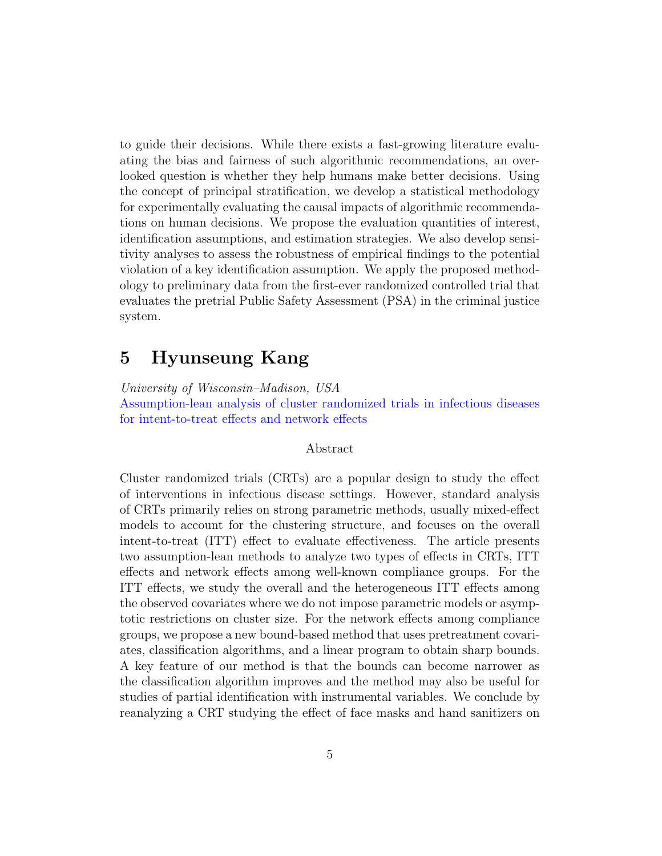to guide their decisions. While there exists a fast-growing literature evaluating the bias and fairness of such algorithmic recommendations, an overlooked question is whether they help humans make better decisions. Using the concept of principal stratification, we develop a statistical methodology for experimentally evaluating the causal impacts of algorithmic recommendations on human decisions. We propose the evaluation quantities of interest, identification assumptions, and estimation strategies. We also develop sensitivity analyses to assess the robustness of empirical findings to the potential violation of a key identification assumption. We apply the proposed methodology to preliminary data from the first-ever randomized controlled trial that evaluates the pretrial Public Safety Assessment (PSA) in the criminal justice system.

# <span id="page-4-0"></span>5 Hyunseung Kang

University of Wisconsin–Madison, USA

Assumption-lean analysis of cluster randomized trials in infectious diseases for intent-to-treat effects and network effects

#### Abstract

Cluster randomized trials (CRTs) are a popular design to study the effect of interventions in infectious disease settings. However, standard analysis of CRTs primarily relies on strong parametric methods, usually mixed-effect models to account for the clustering structure, and focuses on the overall intent-to-treat (ITT) effect to evaluate effectiveness. The article presents two assumption-lean methods to analyze two types of effects in CRTs, ITT effects and network effects among well-known compliance groups. For the ITT effects, we study the overall and the heterogeneous ITT effects among the observed covariates where we do not impose parametric models or asymptotic restrictions on cluster size. For the network effects among compliance groups, we propose a new bound-based method that uses pretreatment covariates, classification algorithms, and a linear program to obtain sharp bounds. A key feature of our method is that the bounds can become narrower as the classification algorithm improves and the method may also be useful for studies of partial identification with instrumental variables. We conclude by reanalyzing a CRT studying the effect of face masks and hand sanitizers on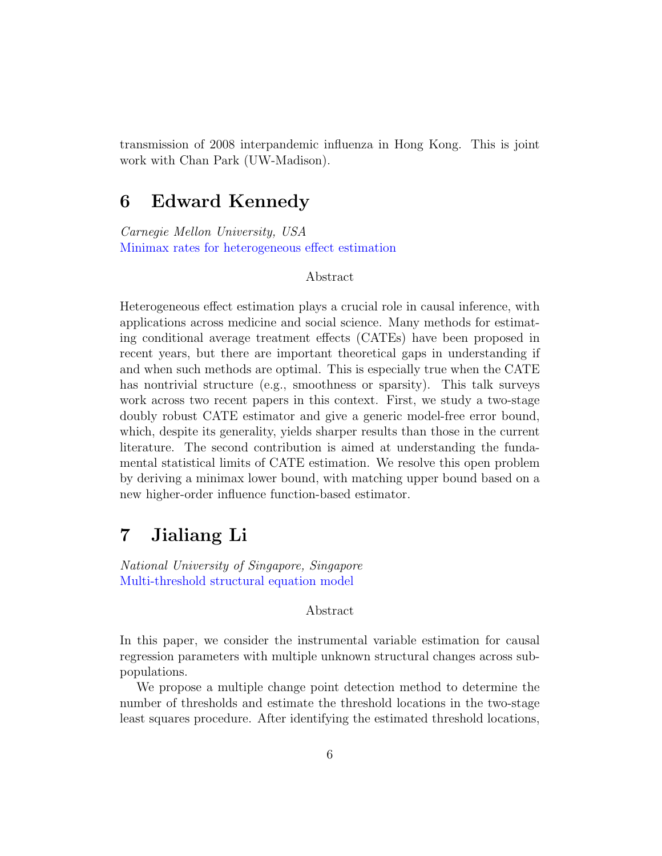transmission of 2008 interpandemic influenza in Hong Kong. This is joint work with Chan Park (UW-Madison).

### <span id="page-5-0"></span>6 Edward Kennedy

Carnegie Mellon University, USA Minimax rates for heterogeneous effect estimation

#### Abstract

Heterogeneous effect estimation plays a crucial role in causal inference, with applications across medicine and social science. Many methods for estimating conditional average treatment effects (CATEs) have been proposed in recent years, but there are important theoretical gaps in understanding if and when such methods are optimal. This is especially true when the CATE has nontrivial structure (e.g., smoothness or sparsity). This talk surveys work across two recent papers in this context. First, we study a two-stage doubly robust CATE estimator and give a generic model-free error bound, which, despite its generality, yields sharper results than those in the current literature. The second contribution is aimed at understanding the fundamental statistical limits of CATE estimation. We resolve this open problem by deriving a minimax lower bound, with matching upper bound based on a new higher-order influence function-based estimator.

### <span id="page-5-1"></span>7 Jialiang Li

National University of Singapore, Singapore Multi-threshold structural equation model

Abstract

In this paper, we consider the instrumental variable estimation for causal regression parameters with multiple unknown structural changes across subpopulations.

We propose a multiple change point detection method to determine the number of thresholds and estimate the threshold locations in the two-stage least squares procedure. After identifying the estimated threshold locations,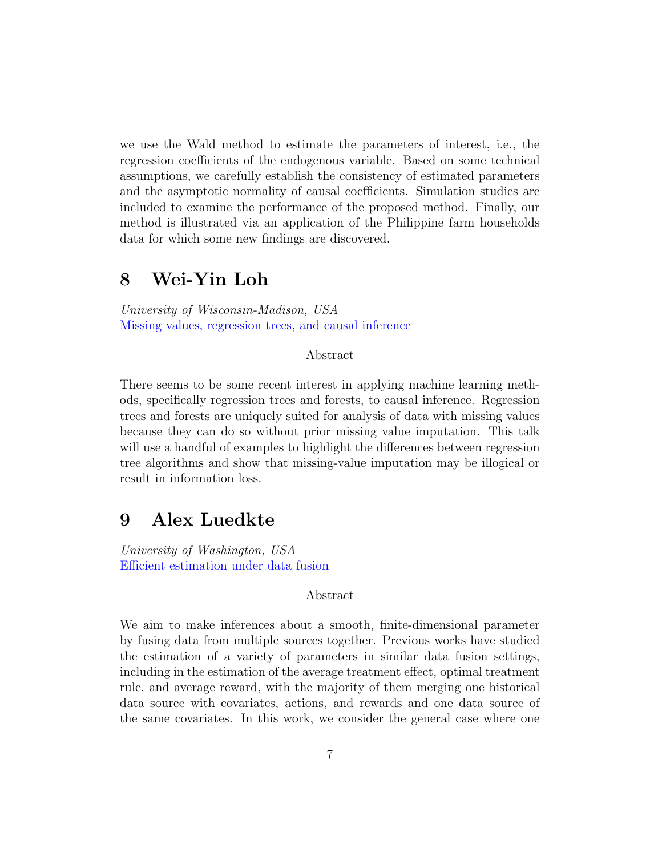we use the Wald method to estimate the parameters of interest, i.e., the regression coefficients of the endogenous variable. Based on some technical assumptions, we carefully establish the consistency of estimated parameters and the asymptotic normality of causal coefficients. Simulation studies are included to examine the performance of the proposed method. Finally, our method is illustrated via an application of the Philippine farm households data for which some new findings are discovered.

### <span id="page-6-0"></span>8 Wei-Yin Loh

University of Wisconsin-Madison, USA Missing values, regression trees, and causal inference

Abstract

There seems to be some recent interest in applying machine learning methods, specifically regression trees and forests, to causal inference. Regression trees and forests are uniquely suited for analysis of data with missing values because they can do so without prior missing value imputation. This talk will use a handful of examples to highlight the differences between regression tree algorithms and show that missing-value imputation may be illogical or result in information loss.

### <span id="page-6-1"></span>9 Alex Luedkte

University of Washington, USA Efficient estimation under data fusion

Abstract

We aim to make inferences about a smooth, finite-dimensional parameter by fusing data from multiple sources together. Previous works have studied the estimation of a variety of parameters in similar data fusion settings, including in the estimation of the average treatment effect, optimal treatment rule, and average reward, with the majority of them merging one historical data source with covariates, actions, and rewards and one data source of the same covariates. In this work, we consider the general case where one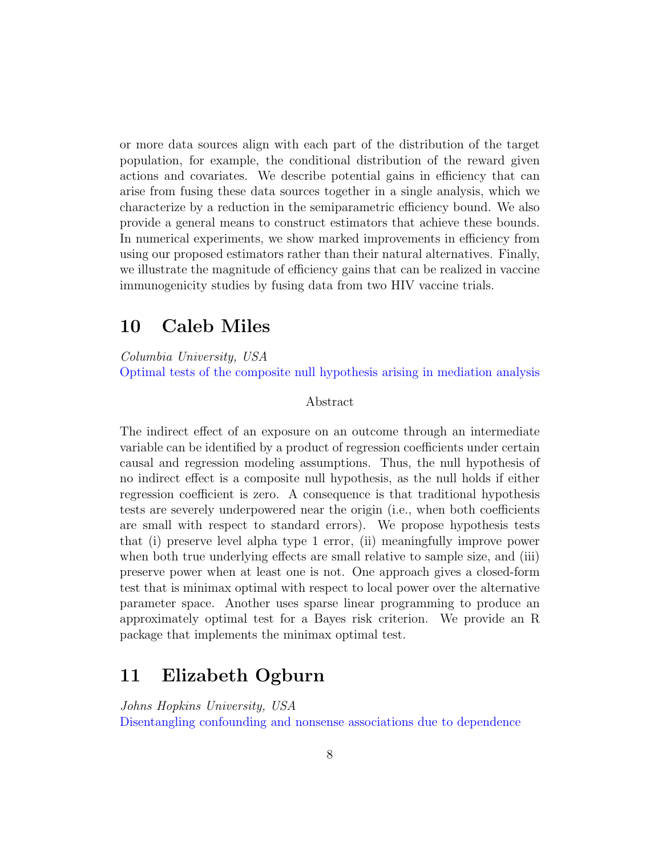or more data sources align with each part of the distribution of the target population, for example, the conditional distribution of the reward given actions and covariates. We describe potential gains in efficiency that can arise from fusing these data sources together in a single analysis, which we characterize by a reduction in the semiparametric efficiency bound. We also provide a general means to construct estimators that achieve these bounds. In numerical experiments, we show marked improvements in efficiency from using our proposed estimators rather than their natural alternatives. Finally, we illustrate the magnitude of efficiency gains that can be realized in vaccine immunogenicity studies by fusing data from two HIV vaccine trials.

### <span id="page-7-0"></span>10 Caleb Miles

Columbia University, USA Optimal tests of the composite null hypothesis arising in mediation analysis

#### Abstract

The indirect effect of an exposure on an outcome through an intermediate variable can be identified by a product of regression coefficients under certain causal and regression modeling assumptions. Thus, the null hypothesis of no indirect effect is a composite null hypothesis, as the null holds if either regression coefficient is zero. A consequence is that traditional hypothesis tests are severely underpowered near the origin (i.e., when both coefficients are small with respect to standard errors). We propose hypothesis tests that (i) preserve level alpha type 1 error, (ii) meaningfully improve power when both true underlying effects are small relative to sample size, and (iii) preserve power when at least one is not. One approach gives a closed-form test that is minimax optimal with respect to local power over the alternative parameter space. Another uses sparse linear programming to produce an approximately optimal test for a Bayes risk criterion. We provide an R package that implements the minimax optimal test.

### <span id="page-7-1"></span>11 Elizabeth Ogburn

Johns Hopkins University, USA

Disentangling confounding and nonsense associations due to dependence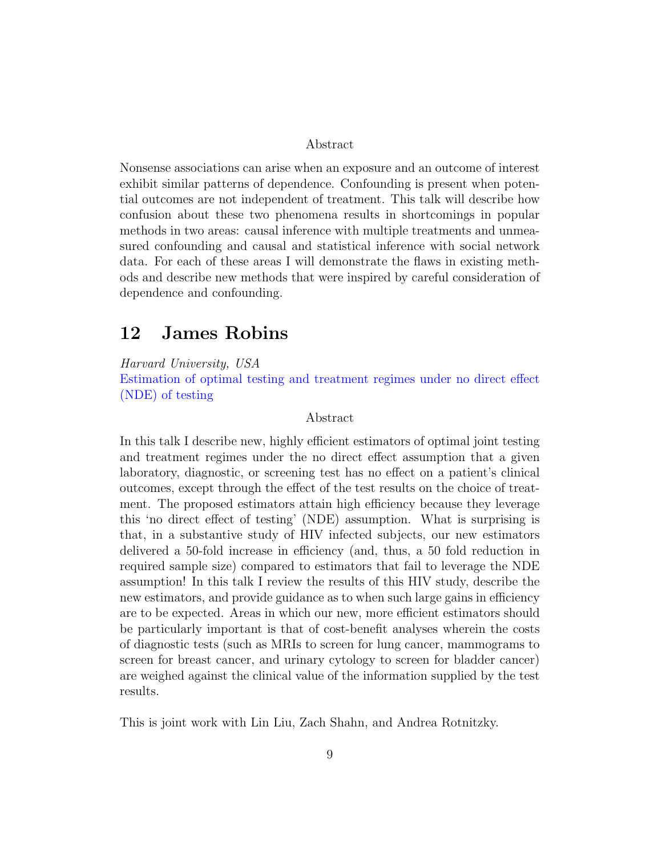Abstract

Nonsense associations can arise when an exposure and an outcome of interest exhibit similar patterns of dependence. Confounding is present when potential outcomes are not independent of treatment. This talk will describe how confusion about these two phenomena results in shortcomings in popular methods in two areas: causal inference with multiple treatments and unmeasured confounding and causal and statistical inference with social network data. For each of these areas I will demonstrate the flaws in existing methods and describe new methods that were inspired by careful consideration of dependence and confounding.

### <span id="page-8-0"></span>12 James Robins

Harvard University, USA

Estimation of optimal testing and treatment regimes under no direct effect (NDE) of testing

#### Abstract

In this talk I describe new, highly efficient estimators of optimal joint testing and treatment regimes under the no direct effect assumption that a given laboratory, diagnostic, or screening test has no effect on a patient's clinical outcomes, except through the effect of the test results on the choice of treatment. The proposed estimators attain high efficiency because they leverage this 'no direct effect of testing' (NDE) assumption. What is surprising is that, in a substantive study of HIV infected subjects, our new estimators delivered a 50-fold increase in efficiency (and, thus, a 50 fold reduction in required sample size) compared to estimators that fail to leverage the NDE assumption! In this talk I review the results of this HIV study, describe the new estimators, and provide guidance as to when such large gains in efficiency are to be expected. Areas in which our new, more efficient estimators should be particularly important is that of cost-benefit analyses wherein the costs of diagnostic tests (such as MRIs to screen for lung cancer, mammograms to screen for breast cancer, and urinary cytology to screen for bladder cancer) are weighed against the clinical value of the information supplied by the test results.

This is joint work with Lin Liu, Zach Shahn, and Andrea Rotnitzky.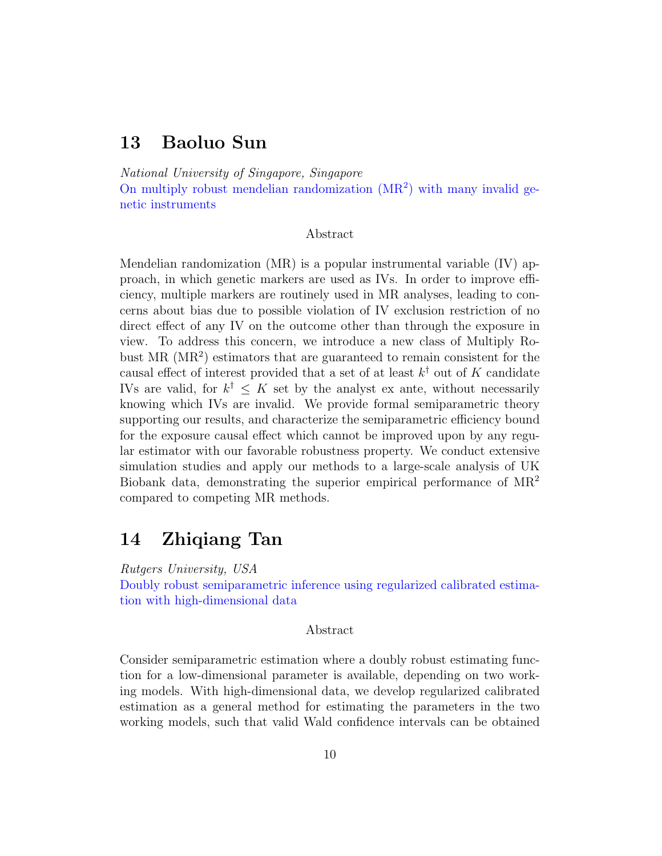### <span id="page-9-0"></span>13 Baoluo Sun

National University of Singapore, Singapore

On multiply robust mendelian randomization  $(MR<sup>2</sup>)$  with many invalid genetic instruments

#### Abstract

Mendelian randomization (MR) is a popular instrumental variable (IV) approach, in which genetic markers are used as IVs. In order to improve efficiency, multiple markers are routinely used in MR analyses, leading to concerns about bias due to possible violation of IV exclusion restriction of no direct effect of any IV on the outcome other than through the exposure in view. To address this concern, we introduce a new class of Multiply Robust MR (MR<sup>2</sup>) estimators that are guaranteed to remain consistent for the causal effect of interest provided that a set of at least  $k^{\dagger}$  out of K candidate IVs are valid, for  $k^{\dagger} \leq K$  set by the analyst ex ante, without necessarily knowing which IVs are invalid. We provide formal semiparametric theory supporting our results, and characterize the semiparametric efficiency bound for the exposure causal effect which cannot be improved upon by any regular estimator with our favorable robustness property. We conduct extensive simulation studies and apply our methods to a large-scale analysis of UK Biobank data, demonstrating the superior empirical performance of  $MR^2$ compared to competing MR methods.

### <span id="page-9-1"></span>14 Zhiqiang Tan

Rutgers University, USA Doubly robust semiparametric inference using regularized calibrated estimation with high-dimensional data

#### Abstract

Consider semiparametric estimation where a doubly robust estimating function for a low-dimensional parameter is available, depending on two working models. With high-dimensional data, we develop regularized calibrated estimation as a general method for estimating the parameters in the two working models, such that valid Wald confidence intervals can be obtained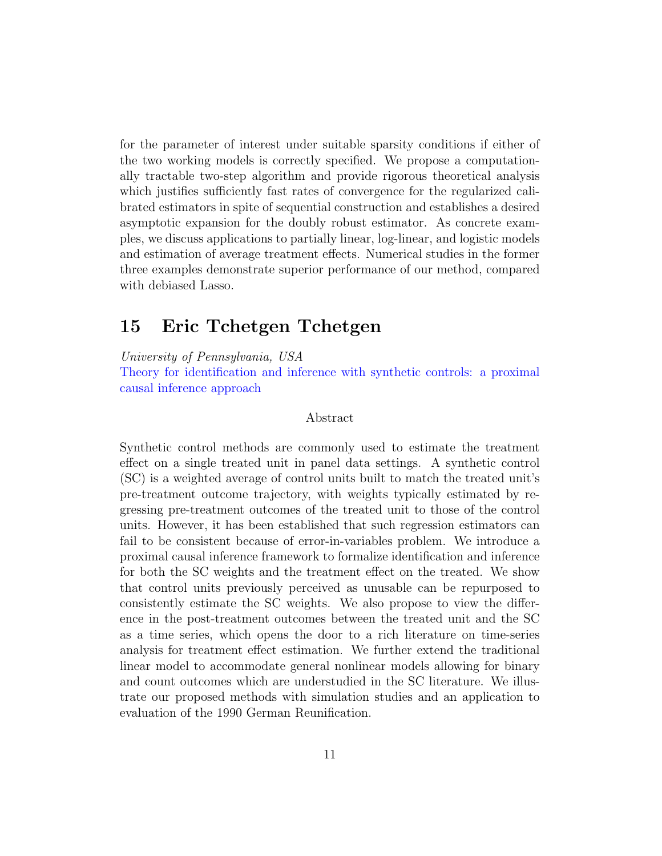for the parameter of interest under suitable sparsity conditions if either of the two working models is correctly specified. We propose a computationally tractable two-step algorithm and provide rigorous theoretical analysis which justifies sufficiently fast rates of convergence for the regularized calibrated estimators in spite of sequential construction and establishes a desired asymptotic expansion for the doubly robust estimator. As concrete examples, we discuss applications to partially linear, log-linear, and logistic models and estimation of average treatment effects. Numerical studies in the former three examples demonstrate superior performance of our method, compared with debiased Lasso.

### <span id="page-10-0"></span>15 Eric Tchetgen Tchetgen

University of Pennsylvania, USA

Theory for identification and inference with synthetic controls: a proximal causal inference approach

#### Abstract

Synthetic control methods are commonly used to estimate the treatment effect on a single treated unit in panel data settings. A synthetic control (SC) is a weighted average of control units built to match the treated unit's pre-treatment outcome trajectory, with weights typically estimated by regressing pre-treatment outcomes of the treated unit to those of the control units. However, it has been established that such regression estimators can fail to be consistent because of error-in-variables problem. We introduce a proximal causal inference framework to formalize identification and inference for both the SC weights and the treatment effect on the treated. We show that control units previously perceived as unusable can be repurposed to consistently estimate the SC weights. We also propose to view the difference in the post-treatment outcomes between the treated unit and the SC as a time series, which opens the door to a rich literature on time-series analysis for treatment effect estimation. We further extend the traditional linear model to accommodate general nonlinear models allowing for binary and count outcomes which are understudied in the SC literature. We illustrate our proposed methods with simulation studies and an application to evaluation of the 1990 German Reunification.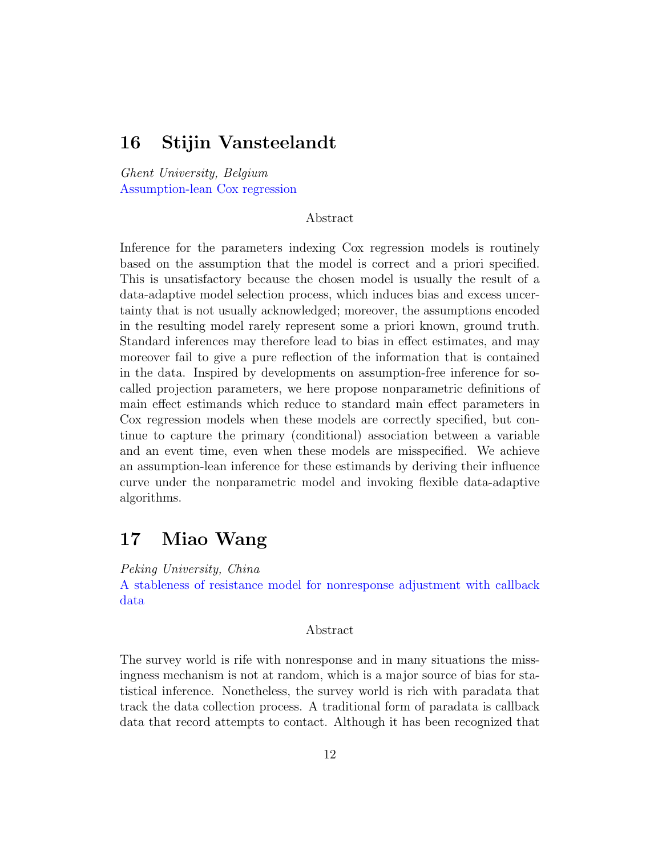### <span id="page-11-0"></span>16 Stijin Vansteelandt

Ghent University, Belgium Assumption-lean Cox regression

#### Abstract

Inference for the parameters indexing Cox regression models is routinely based on the assumption that the model is correct and a priori specified. This is unsatisfactory because the chosen model is usually the result of a data-adaptive model selection process, which induces bias and excess uncertainty that is not usually acknowledged; moreover, the assumptions encoded in the resulting model rarely represent some a priori known, ground truth. Standard inferences may therefore lead to bias in effect estimates, and may moreover fail to give a pure reflection of the information that is contained in the data. Inspired by developments on assumption-free inference for socalled projection parameters, we here propose nonparametric definitions of main effect estimands which reduce to standard main effect parameters in Cox regression models when these models are correctly specified, but continue to capture the primary (conditional) association between a variable and an event time, even when these models are misspecified. We achieve an assumption-lean inference for these estimands by deriving their influence curve under the nonparametric model and invoking flexible data-adaptive algorithms.

### <span id="page-11-1"></span>17 Miao Wang

Peking University, China

A stableness of resistance model for nonresponse adjustment with callback data

#### Abstract

The survey world is rife with nonresponse and in many situations the missingness mechanism is not at random, which is a major source of bias for statistical inference. Nonetheless, the survey world is rich with paradata that track the data collection process. A traditional form of paradata is callback data that record attempts to contact. Although it has been recognized that